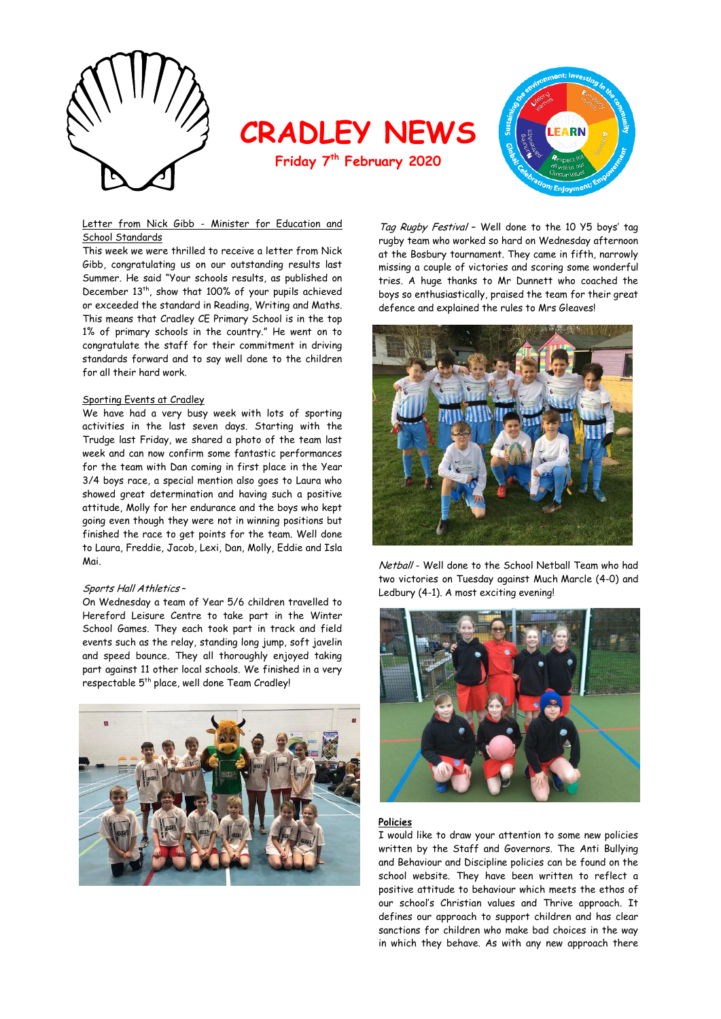

**CRADLEY NEWS**

**Friday 7th February 2020**



#### Letter from Nick Gibb - Minister for Education and School Standards

This week we were thrilled to receive a letter from Nick Gibb, congratulating us on our outstanding results last Summer. He said "Your schools results, as published on December 13<sup>th</sup>, show that 100% of your pupils achieved or exceeded the standard in Reading, Writing and Maths. This means that Cradley CE Primary School is in the top 1% of primary schools in the country." He went on to congratulate the staff for their commitment in driving standards forward and to say well done to the children for all their hard work.

#### Sporting Events at Cradley

We have had a very busy week with lots of sporting activities in the last seven days. Starting with the Trudge last Friday, we shared a photo of the team last week and can now confirm some fantastic performances for the team with Dan coming in first place in the Year 3/4 boys race, a special mention also goes to Laura who showed great determination and having such a positive attitude, Molly for her endurance and the boys who kept going even though they were not in winning positions but finished the race to get points for the team. Well done to Laura, Freddie, Jacob, Lexi, Dan, Molly, Eddie and Isla Mai.

#### Sports Hall Athletics –

On Wednesday a team of Year 5/6 children travelled to Hereford Leisure Centre to take part in the Winter School Games. They each took part in track and field events such as the relay, standing long jump, soft javelin and speed bounce. They all thoroughly enjoyed taking part against 11 other local schools. We finished in a very respectable 5<sup>th</sup> place, well done Team Cradley!



Tag Rugby Festival – Well done to the 10 Y5 boys' tag rugby team who worked so hard on Wednesday afternoon at the Bosbury tournament. They came in fifth, narrowly missing a couple of victories and scoring some wonderful tries. A huge thanks to Mr Dunnett who coached the boys so enthusiastically, praised the team for their great defence and explained the rules to Mrs Gleaves!



Netball - Well done to the School Netball Team who had two victories on Tuesday against Much Marcle (4-0) and Ledbury (4-1). A most exciting evening!



#### **Policies**

I would like to draw your attention to some new policies written by the Staff and Governors. The Anti Bullying and Behaviour and Discipline policies can be found on the school website. They have been written to reflect a positive attitude to behaviour which meets the ethos of our school's Christian values and Thrive approach. It defines our approach to support children and has clear sanctions for children who make bad choices in the way in which they behave. As with any new approach there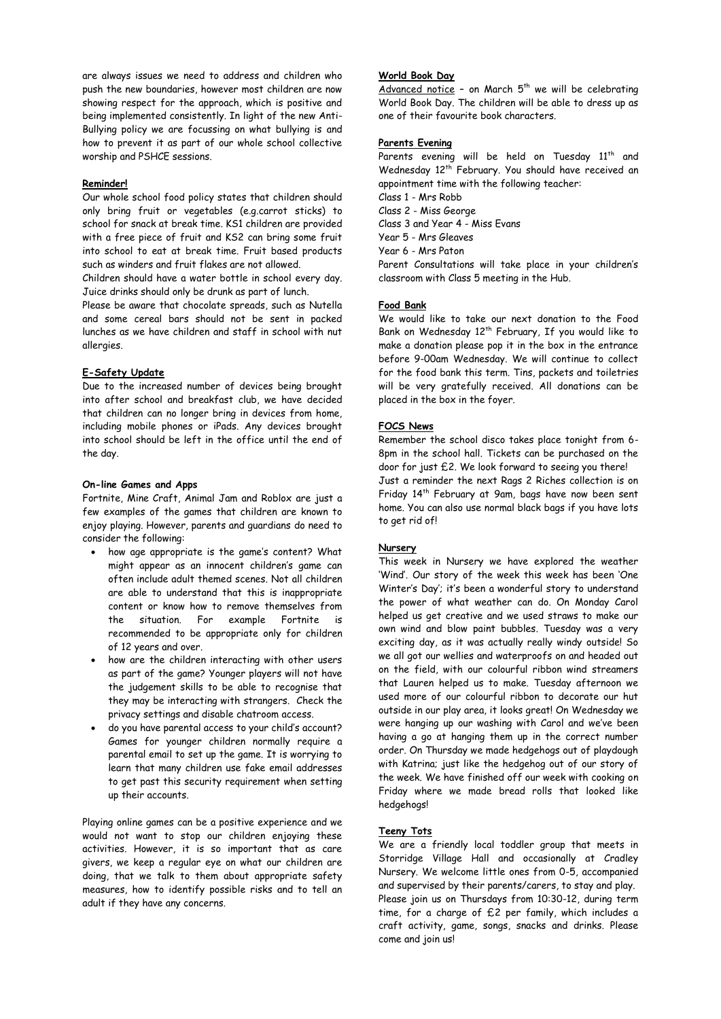are always issues we need to address and children who push the new boundaries, however most children are now showing respect for the approach, which is positive and being implemented consistently. In light of the new Anti-Bullying policy we are focussing on what bullying is and how to prevent it as part of our whole school collective worship and PSHCE sessions.

#### **Reminder!**

Our whole school food policy states that children should only bring fruit or vegetables (e.g.carrot sticks) to school for snack at break time. KS1 children are provided with a free piece of fruit and KS2 can bring some fruit into school to eat at break time. Fruit based products such as winders and fruit flakes are not allowed.

Children should have a water bottle in school every day. Juice drinks should only be drunk as part of lunch.

Please be aware that chocolate spreads, such as Nutella and some cereal bars should not be sent in packed lunches as we have children and staff in school with nut allergies.

## **E-Safety Update**

Due to the increased number of devices being brought into after school and breakfast club, we have decided that children can no longer bring in devices from home, including mobile phones or iPads. Any devices brought into school should be left in the office until the end of the day.

### **On-line Games and Apps**

Fortnite, Mine Craft, Animal Jam and Roblox are just a few examples of the games that children are known to enjoy playing. However, parents and guardians do need to consider the following:

- how age appropriate is the game's content? What might appear as an innocent children's game can often include adult themed scenes. Not all children are able to understand that this is inappropriate content or know how to remove themselves from the situation. For example Fortnite is recommended to be appropriate only for children of 12 years and over.
- how are the children interacting with other users as part of the game? Younger players will not have the judgement skills to be able to recognise that they may be interacting with strangers. Check the privacy settings and disable chatroom access.
- do you have parental access to your child's account? Games for younger children normally require a parental email to set up the game. It is worrying to learn that many children use fake email addresses to get past this security requirement when setting up their accounts.

Playing online games can be a positive experience and we would not want to stop our children enjoying these activities. However, it is so important that as care givers, we keep a regular eye on what our children are doing, that we talk to them about appropriate safety measures, how to identify possible risks and to tell an adult if they have any concerns.

## **World Book Day**

Advanced notice - on March  $5<sup>th</sup>$  we will be celebrating World Book Day. The children will be able to dress up as one of their favourite book characters.

### **Parents Evening**

Parents evening will be held on Tuesday 11<sup>th</sup> and Wednesday 12<sup>th</sup> February. You should have received an appointment time with the following teacher:

- Class 1 Mrs Robb
- Class 2 Miss George
- Class 3 and Year 4 Miss Evans
- Year 5 Mrs Gleaves
- Year 6 Mrs Paton

Parent Consultations will take place in your children's classroom with Class 5 meeting in the Hub.

### **Food Bank**

We would like to take our next donation to the Food Bank on Wednesday 12<sup>th</sup> February, If you would like to make a donation please pop it in the box in the entrance before 9-00am Wednesday. We will continue to collect for the food bank this term. Tins, packets and toiletries will be very gratefully received. All donations can be placed in the box in the foyer.

## **FOCS News**

Remember the school disco takes place tonight from 6- 8pm in the school hall. Tickets can be purchased on the door for just £2. We look forward to seeing you there! Just a reminder the next Rags 2 Riches collection is on Friday 14<sup>th</sup> February at 9am, bags have now been sent home. You can also use normal black bags if you have lots to get rid of!

#### **Nursery**

This week in Nursery we have explored the weather 'Wind'. Our story of the week this week has been 'One Winter's Day'; it's been a wonderful story to understand the power of what weather can do. On Monday Carol helped us get creative and we used straws to make our own wind and blow paint bubbles. Tuesday was a very exciting day, as it was actually really windy outside! So we all got our wellies and waterproofs on and headed out on the field, with our colourful ribbon wind streamers that Lauren helped us to make. Tuesday afternoon we used more of our colourful ribbon to decorate our hut outside in our play area, it looks great! On Wednesday we were hanging up our washing with Carol and we've been having a go at hanging them up in the correct number order. On Thursday we made hedgehogs out of playdough with Katrina; just like the hedgehog out of our story of the week. We have finished off our week with cooking on Friday where we made bread rolls that looked like hedgehogs!

## **Teeny Tots**

We are a friendly local toddler group that meets in Storridge Village Hall and occasionally at Cradley Nursery. We welcome little ones from 0-5, accompanied and supervised by their parents/carers, to stay and play. Please join us on Thursdays from 10:30-12, during term time, for a charge of £2 per family, which includes a craft activity, game, songs, snacks and drinks. Please come and join us!